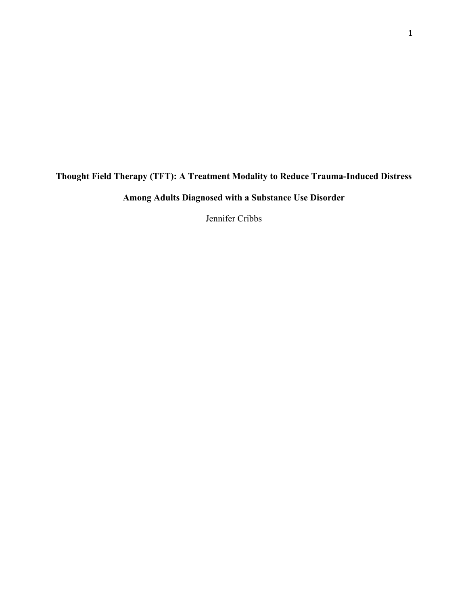# **Thought Field Therapy (TFT): A Treatment Modality to Reduce Trauma-Induced Distress**

**Among Adults Diagnosed with a Substance Use Disorder** 

Jennifer Cribbs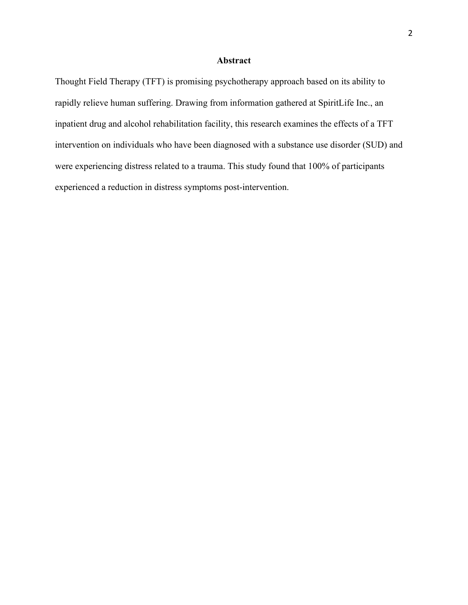## **Abstract**

Thought Field Therapy (TFT) is promising psychotherapy approach based on its ability to rapidly relieve human suffering. Drawing from information gathered at SpiritLife Inc., an inpatient drug and alcohol rehabilitation facility, this research examines the effects of a TFT intervention on individuals who have been diagnosed with a substance use disorder (SUD) and were experiencing distress related to a trauma. This study found that 100% of participants experienced a reduction in distress symptoms post-intervention.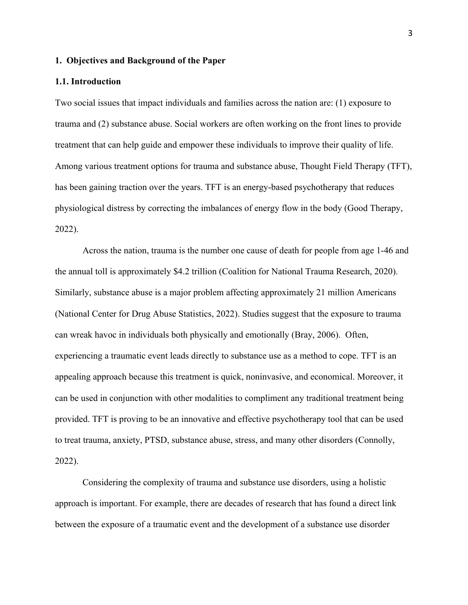#### **1. Objectives and Background of the Paper**

#### **1.1. Introduction**

Two social issues that impact individuals and families across the nation are: (1) exposure to trauma and (2) substance abuse. Social workers are often working on the front lines to provide treatment that can help guide and empower these individuals to improve their quality of life. Among various treatment options for trauma and substance abuse, Thought Field Therapy (TFT), has been gaining traction over the years. TFT is an energy-based psychotherapy that reduces physiological distress by correcting the imbalances of energy flow in the body (Good Therapy, 2022).

Across the nation, trauma is the number one cause of death for people from age 1-46 and the annual toll is approximately \$4.2 trillion (Coalition for National Trauma Research, 2020). Similarly, substance abuse is a major problem affecting approximately 21 million Americans (National Center for Drug Abuse Statistics, 2022). Studies suggest that the exposure to trauma can wreak havoc in individuals both physically and emotionally (Bray, 2006). Often, experiencing a traumatic event leads directly to substance use as a method to cope. TFT is an appealing approach because this treatment is quick, noninvasive, and economical. Moreover, it can be used in conjunction with other modalities to compliment any traditional treatment being provided. TFT is proving to be an innovative and effective psychotherapy tool that can be used to treat trauma, anxiety, PTSD, substance abuse, stress, and many other disorders (Connolly, 2022).

Considering the complexity of trauma and substance use disorders, using a holistic approach is important. For example, there are decades of research that has found a direct link between the exposure of a traumatic event and the development of a substance use disorder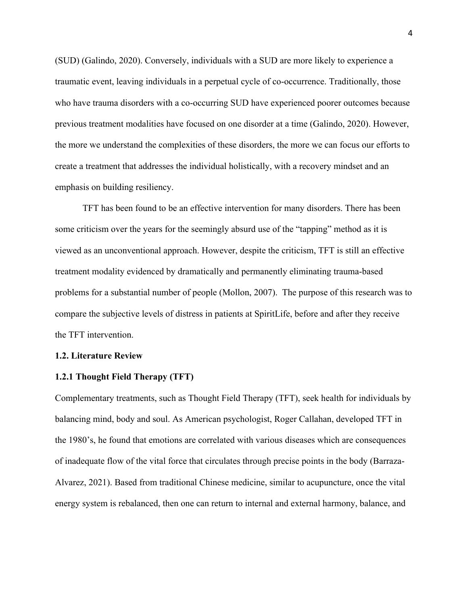(SUD) (Galindo, 2020). Conversely, individuals with a SUD are more likely to experience a traumatic event, leaving individuals in a perpetual cycle of co-occurrence. Traditionally, those who have trauma disorders with a co-occurring SUD have experienced poorer outcomes because previous treatment modalities have focused on one disorder at a time (Galindo, 2020). However, the more we understand the complexities of these disorders, the more we can focus our efforts to create a treatment that addresses the individual holistically, with a recovery mindset and an emphasis on building resiliency.

TFT has been found to be an effective intervention for many disorders. There has been some criticism over the years for the seemingly absurd use of the "tapping" method as it is viewed as an unconventional approach. However, despite the criticism, TFT is still an effective treatment modality evidenced by dramatically and permanently eliminating trauma-based problems for a substantial number of people (Mollon, 2007). The purpose of this research was to compare the subjective levels of distress in patients at SpiritLife, before and after they receive the TFT intervention.

#### **1.2. Literature Review**

#### **1.2.1 Thought Field Therapy (TFT)**

Complementary treatments, such as Thought Field Therapy (TFT), seek health for individuals by balancing mind, body and soul. As American psychologist, Roger Callahan, developed TFT in the 1980's, he found that emotions are correlated with various diseases which are consequences of inadequate flow of the vital force that circulates through precise points in the body (Barraza-Alvarez, 2021). Based from traditional Chinese medicine, similar to acupuncture, once the vital energy system is rebalanced, then one can return to internal and external harmony, balance, and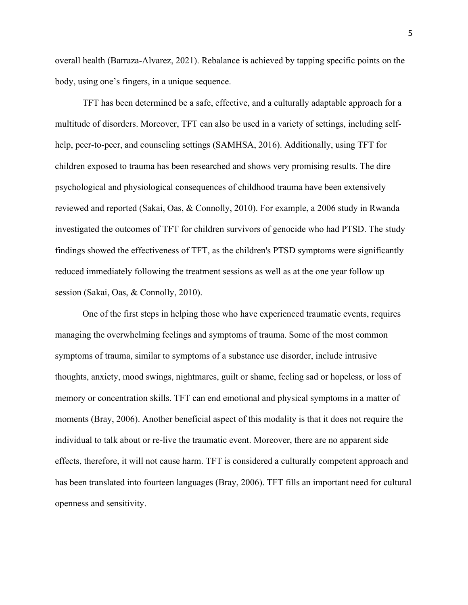overall health (Barraza-Alvarez, 2021). Rebalance is achieved by tapping specific points on the body, using one's fingers, in a unique sequence.

TFT has been determined be a safe, effective, and a culturally adaptable approach for a multitude of disorders. Moreover, TFT can also be used in a variety of settings, including selfhelp, peer-to-peer, and counseling settings (SAMHSA, 2016). Additionally, using TFT for children exposed to trauma has been researched and shows very promising results. The dire psychological and physiological consequences of childhood trauma have been extensively reviewed and reported (Sakai, Oas, & Connolly, 2010). For example, a 2006 study in Rwanda investigated the outcomes of TFT for children survivors of genocide who had PTSD. The study findings showed the effectiveness of TFT, as the children's PTSD symptoms were significantly reduced immediately following the treatment sessions as well as at the one year follow up session (Sakai, Oas, & Connolly, 2010).

One of the first steps in helping those who have experienced traumatic events, requires managing the overwhelming feelings and symptoms of trauma. Some of the most common symptoms of trauma, similar to symptoms of a substance use disorder, include intrusive thoughts, anxiety, mood swings, nightmares, guilt or shame, feeling sad or hopeless, or loss of memory or concentration skills. TFT can end emotional and physical symptoms in a matter of moments (Bray, 2006). Another beneficial aspect of this modality is that it does not require the individual to talk about or re-live the traumatic event. Moreover, there are no apparent side effects, therefore, it will not cause harm. TFT is considered a culturally competent approach and has been translated into fourteen languages (Bray, 2006). TFT fills an important need for cultural openness and sensitivity.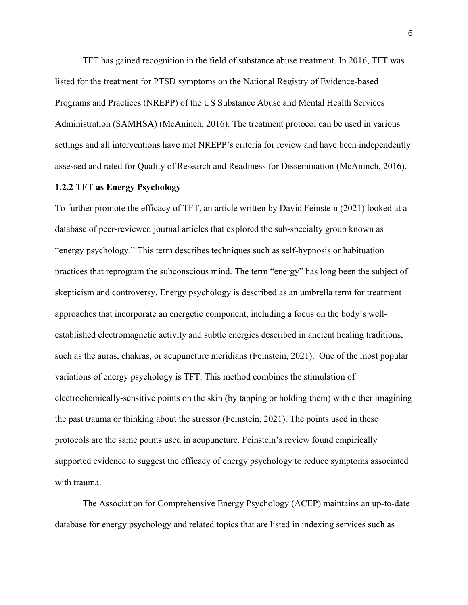TFT has gained recognition in the field of substance abuse treatment. In 2016, TFT was listed for the treatment for PTSD symptoms on the National Registry of Evidence-based Programs and Practices (NREPP) of the US Substance Abuse and Mental Health Services Administration (SAMHSA) (McAninch, 2016). The treatment protocol can be used in various settings and all interventions have met NREPP's criteria for review and have been independently assessed and rated for Quality of Research and Readiness for Dissemination (McAninch, 2016).

#### **1.2.2 TFT as Energy Psychology**

To further promote the efficacy of TFT, an article written by David Feinstein (2021) looked at a database of peer-reviewed journal articles that explored the sub-specialty group known as "energy psychology." This term describes techniques such as self-hypnosis or habituation practices that reprogram the subconscious mind. The term "energy" has long been the subject of skepticism and controversy. Energy psychology is described as an umbrella term for treatment approaches that incorporate an energetic component, including a focus on the body's wellestablished electromagnetic activity and subtle energies described in ancient healing traditions, such as the auras, chakras, or acupuncture meridians (Feinstein, 2021). One of the most popular variations of energy psychology is TFT. This method combines the stimulation of electrochemically-sensitive points on the skin (by tapping or holding them) with either imagining the past trauma or thinking about the stressor (Feinstein, 2021). The points used in these protocols are the same points used in acupuncture. Feinstein's review found empirically supported evidence to suggest the efficacy of energy psychology to reduce symptoms associated with trauma.

The Association for Comprehensive Energy Psychology (ACEP) maintains an up-to-date database for energy psychology and related topics that are listed in indexing services such as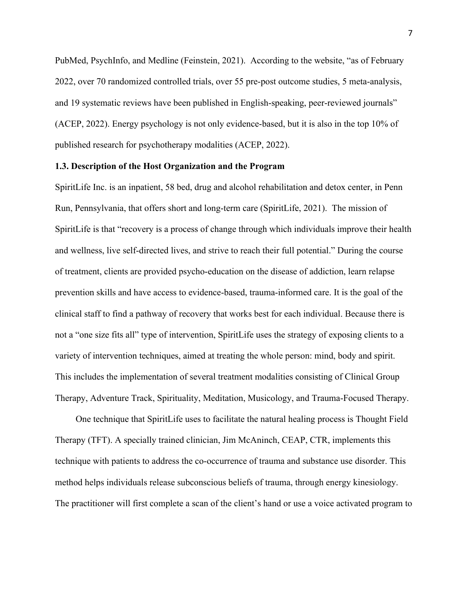PubMed, PsychInfo, and Medline (Feinstein, 2021). According to the website, "as of February 2022, over 70 randomized controlled trials, over 55 pre-post outcome studies, 5 meta-analysis, and 19 systematic reviews have been published in English-speaking, peer-reviewed journals" (ACEP, 2022). Energy psychology is not only evidence-based, but it is also in the top 10% of published research for psychotherapy modalities (ACEP, 2022).

## **1.3. Description of the Host Organization and the Program**

SpiritLife Inc. is an inpatient, 58 bed, drug and alcohol rehabilitation and detox center, in Penn Run, Pennsylvania, that offers short and long-term care (SpiritLife, 2021). The mission of SpiritLife is that "recovery is a process of change through which individuals improve their health and wellness, live self-directed lives, and strive to reach their full potential." During the course of treatment, clients are provided psycho-education on the disease of addiction, learn relapse prevention skills and have access to evidence-based, trauma-informed care. It is the goal of the clinical staff to find a pathway of recovery that works best for each individual. Because there is not a "one size fits all" type of intervention, SpiritLife uses the strategy of exposing clients to a variety of intervention techniques, aimed at treating the whole person: mind, body and spirit. This includes the implementation of several treatment modalities consisting of Clinical Group Therapy, Adventure Track, Spirituality, Meditation, Musicology, and Trauma-Focused Therapy.

One technique that SpiritLife uses to facilitate the natural healing process is Thought Field Therapy (TFT). A specially trained clinician, Jim McAninch, CEAP, CTR, implements this technique with patients to address the co-occurrence of trauma and substance use disorder. This method helps individuals release subconscious beliefs of trauma, through energy kinesiology. The practitioner will first complete a scan of the client's hand or use a voice activated program to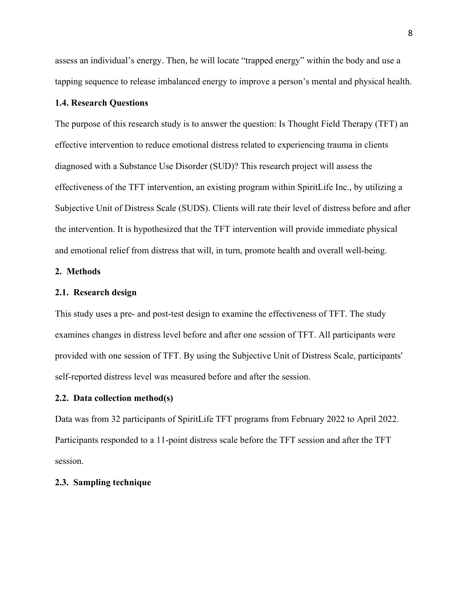assess an individual's energy. Then, he will locate "trapped energy" within the body and use a tapping sequence to release imbalanced energy to improve a person's mental and physical health.

### **1.4. Research Questions**

The purpose of this research study is to answer the question: Is Thought Field Therapy (TFT) an effective intervention to reduce emotional distress related to experiencing trauma in clients diagnosed with a Substance Use Disorder (SUD)? This research project will assess the effectiveness of the TFT intervention, an existing program within SpiritLife Inc., by utilizing a Subjective Unit of Distress Scale (SUDS). Clients will rate their level of distress before and after the intervention. It is hypothesized that the TFT intervention will provide immediate physical and emotional relief from distress that will, in turn, promote health and overall well-being.

## **2. Methods**

#### **2.1. Research design**

This study uses a pre- and post-test design to examine the effectiveness of TFT. The study examines changes in distress level before and after one session of TFT. All participants were provided with one session of TFT. By using the Subjective Unit of Distress Scale, participants' self-reported distress level was measured before and after the session.

## **2.2. Data collection method(s)**

Data was from 32 participants of SpiritLife TFT programs from February 2022 to April 2022. Participants responded to a 11-point distress scale before the TFT session and after the TFT session.

#### **2.3. Sampling technique**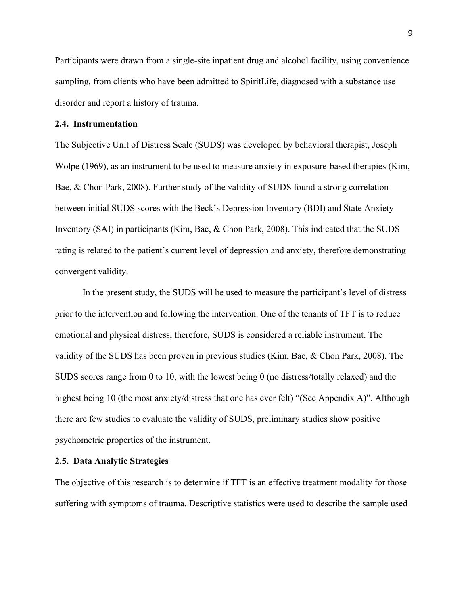Participants were drawn from a single-site inpatient drug and alcohol facility, using convenience sampling, from clients who have been admitted to SpiritLife, diagnosed with a substance use disorder and report a history of trauma.

## **2.4. Instrumentation**

The Subjective Unit of Distress Scale (SUDS) was developed by behavioral therapist, Joseph Wolpe (1969), as an instrument to be used to measure anxiety in exposure-based therapies (Kim, Bae, & Chon Park, 2008). Further study of the validity of SUDS found a strong correlation between initial SUDS scores with the Beck's Depression Inventory (BDI) and State Anxiety Inventory (SAI) in participants (Kim, Bae, & Chon Park, 2008). This indicated that the SUDS rating is related to the patient's current level of depression and anxiety, therefore demonstrating convergent validity.

In the present study, the SUDS will be used to measure the participant's level of distress prior to the intervention and following the intervention. One of the tenants of TFT is to reduce emotional and physical distress, therefore, SUDS is considered a reliable instrument. The validity of the SUDS has been proven in previous studies (Kim, Bae, & Chon Park, 2008). The SUDS scores range from 0 to 10, with the lowest being 0 (no distress/totally relaxed) and the highest being 10 (the most anxiety/distress that one has ever felt) "(See Appendix A)". Although there are few studies to evaluate the validity of SUDS, preliminary studies show positive psychometric properties of the instrument.

#### **2.5. Data Analytic Strategies**

The objective of this research is to determine if TFT is an effective treatment modality for those suffering with symptoms of trauma. Descriptive statistics were used to describe the sample used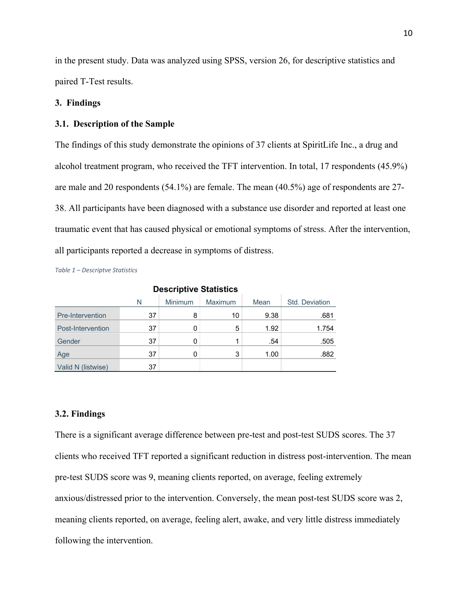in the present study. Data was analyzed using SPSS, version 26, for descriptive statistics and paired T-Test results.

## **3. Findings**

## **3.1. Description of the Sample**

The findings of this study demonstrate the opinions of 37 clients at SpiritLife Inc., a drug and alcohol treatment program, who received the TFT intervention. In total, 17 respondents (45.9%) are male and 20 respondents (54.1%) are female. The mean (40.5%) age of respondents are 27- 38. All participants have been diagnosed with a substance use disorder and reported at least one traumatic event that has caused physical or emotional symptoms of stress. After the intervention, all participants reported a decrease in symptoms of distress.

*Table 1 – Descriptve Statistics*

| <b>DESCRIPTIVE ORAISHUS</b> |    |                |                |      |                |  |  |
|-----------------------------|----|----------------|----------------|------|----------------|--|--|
|                             | N  | <b>Minimum</b> | <b>Maximum</b> | Mean | Std. Deviation |  |  |
| Pre-Intervention            | 37 | 8              | 10             | 9.38 | .681           |  |  |
| Post-Intervention           | 37 |                | 5              | 1.92 | 1.754          |  |  |
| Gender                      | 37 |                |                | .54  | .505           |  |  |
| Age                         | 37 |                | 3              | 1.00 | .882           |  |  |
| Valid N (listwise)          | 37 |                |                |      |                |  |  |

## **Descriptive Statistics**

#### **3.2. Findings**

There is a significant average difference between pre-test and post-test SUDS scores. The 37 clients who received TFT reported a significant reduction in distress post-intervention. The mean pre-test SUDS score was 9, meaning clients reported, on average, feeling extremely anxious/distressed prior to the intervention. Conversely, the mean post-test SUDS score was 2, meaning clients reported, on average, feeling alert, awake, and very little distress immediately following the intervention.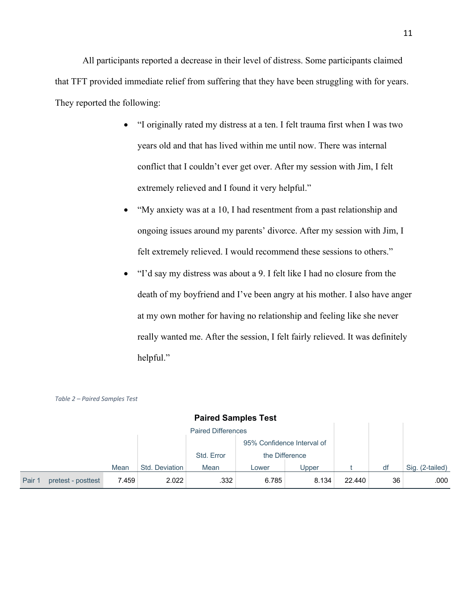All participants reported a decrease in their level of distress. Some participants claimed that TFT provided immediate relief from suffering that they have been struggling with for years. They reported the following:

- "I originally rated my distress at a ten. I felt trauma first when I was two years old and that has lived within me until now. There was internal conflict that I couldn't ever get over. After my session with Jim, I felt extremely relieved and I found it very helpful."
- "My anxiety was at a 10, I had resentment from a past relationship and ongoing issues around my parents' divorce. After my session with Jim, I felt extremely relieved. I would recommend these sessions to others."
- "I'd say my distress was about a 9. I felt like I had no closure from the death of my boyfriend and I've been angry at his mother. I also have anger at my own mother for having no relationship and feeling like she never really wanted me. After the session, I felt fairly relieved. It was definitely helpful."

|        |                    |       |                |                           | <b>Paired Samples Test</b> |                            |        |    |                 |
|--------|--------------------|-------|----------------|---------------------------|----------------------------|----------------------------|--------|----|-----------------|
|        |                    |       |                | <b>Paired Differences</b> |                            |                            |        |    |                 |
|        |                    |       |                |                           |                            | 95% Confidence Interval of |        |    |                 |
|        |                    |       |                | Std. Error                |                            | the Difference             |        |    |                 |
|        |                    | Mean  | Std. Deviation | Mean                      | Lower                      | Upper                      |        | df | Sig. (2-tailed) |
| Pair 1 | pretest - posttest | 7.459 | 2.022          | .332                      | 6.785                      | 8.134                      | 22.440 | 36 | .000            |

#### *Table 2 – Paired Samples Test*

# **Paired Samples Test**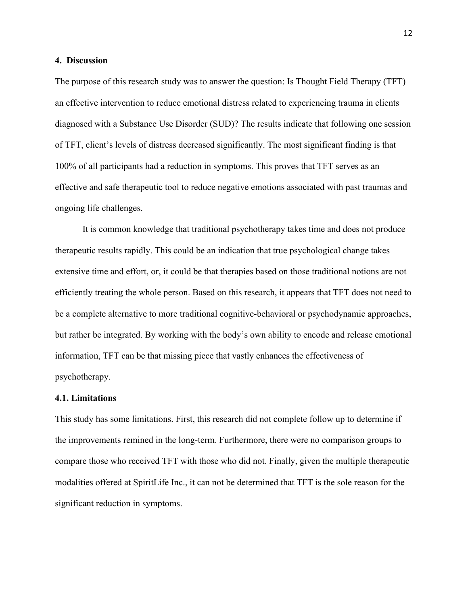#### **4. Discussion**

The purpose of this research study was to answer the question: Is Thought Field Therapy (TFT) an effective intervention to reduce emotional distress related to experiencing trauma in clients diagnosed with a Substance Use Disorder (SUD)? The results indicate that following one session of TFT, client's levels of distress decreased significantly. The most significant finding is that 100% of all participants had a reduction in symptoms. This proves that TFT serves as an effective and safe therapeutic tool to reduce negative emotions associated with past traumas and ongoing life challenges.

It is common knowledge that traditional psychotherapy takes time and does not produce therapeutic results rapidly. This could be an indication that true psychological change takes extensive time and effort, or, it could be that therapies based on those traditional notions are not efficiently treating the whole person. Based on this research, it appears that TFT does not need to be a complete alternative to more traditional cognitive-behavioral or psychodynamic approaches, but rather be integrated. By working with the body's own ability to encode and release emotional information, TFT can be that missing piece that vastly enhances the effectiveness of psychotherapy.

#### **4.1. Limitations**

This study has some limitations. First, this research did not complete follow up to determine if the improvements remined in the long-term. Furthermore, there were no comparison groups to compare those who received TFT with those who did not. Finally, given the multiple therapeutic modalities offered at SpiritLife Inc., it can not be determined that TFT is the sole reason for the significant reduction in symptoms.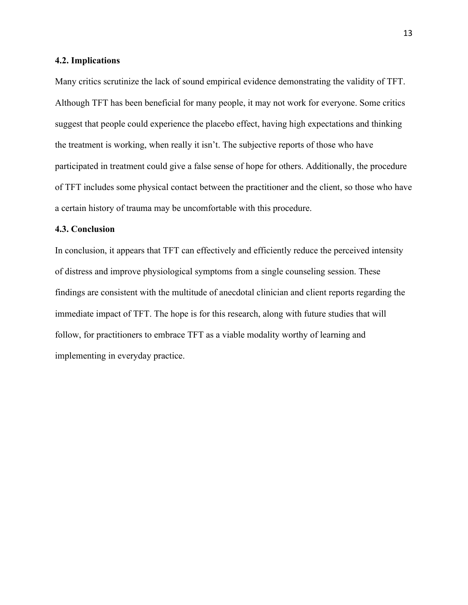#### **4.2. Implications**

Many critics scrutinize the lack of sound empirical evidence demonstrating the validity of TFT. Although TFT has been beneficial for many people, it may not work for everyone. Some critics suggest that people could experience the placebo effect, having high expectations and thinking the treatment is working, when really it isn't. The subjective reports of those who have participated in treatment could give a false sense of hope for others. Additionally, the procedure of TFT includes some physical contact between the practitioner and the client, so those who have a certain history of trauma may be uncomfortable with this procedure.

#### **4.3. Conclusion**

In conclusion, it appears that TFT can effectively and efficiently reduce the perceived intensity of distress and improve physiological symptoms from a single counseling session. These findings are consistent with the multitude of anecdotal clinician and client reports regarding the immediate impact of TFT. The hope is for this research, along with future studies that will follow, for practitioners to embrace TFT as a viable modality worthy of learning and implementing in everyday practice.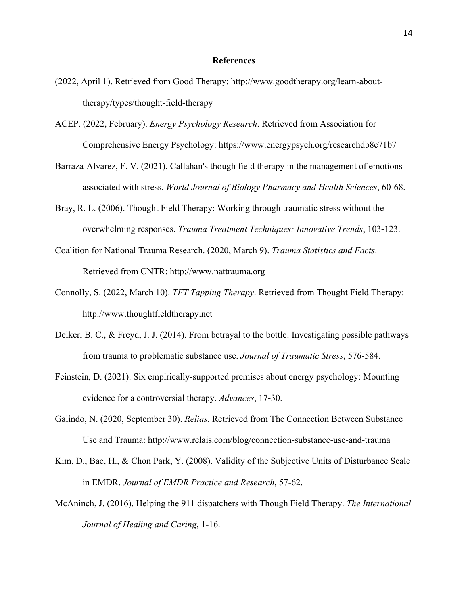#### **References**

- (2022, April 1). Retrieved from Good Therapy: http://www.goodtherapy.org/learn-abouttherapy/types/thought-field-therapy
- ACEP. (2022, February). *Energy Psychology Research*. Retrieved from Association for Comprehensive Energy Psychology: https://www.energypsych.org/researchdb8c71b7
- Barraza-Alvarez, F. V. (2021). Callahan's though field therapy in the management of emotions associated with stress. *World Journal of Biology Pharmacy and Health Sciences*, 60-68.
- Bray, R. L. (2006). Thought Field Therapy: Working through traumatic stress without the overwhelming responses. *Trauma Treatment Techniques: Innovative Trends*, 103-123.
- Coalition for National Trauma Research. (2020, March 9). *Trauma Statistics and Facts*. Retrieved from CNTR: http://www.nattrauma.org
- Connolly, S. (2022, March 10). *TFT Tapping Therapy*. Retrieved from Thought Field Therapy: http://www.thoughtfieldtherapy.net
- Delker, B. C., & Freyd, J. J. (2014). From betrayal to the bottle: Investigating possible pathways from trauma to problematic substance use. *Journal of Traumatic Stress*, 576-584.
- Feinstein, D. (2021). Six empirically-supported premises about energy psychology: Mounting evidence for a controversial therapy. *Advances*, 17-30.
- Galindo, N. (2020, September 30). *Relias*. Retrieved from The Connection Between Substance Use and Trauma: http://www.relais.com/blog/connection-substance-use-and-trauma
- Kim, D., Bae, H., & Chon Park, Y. (2008). Validity of the Subjective Units of Disturbance Scale in EMDR. *Journal of EMDR Practice and Research*, 57-62.
- McAninch, J. (2016). Helping the 911 dispatchers with Though Field Therapy. *The International Journal of Healing and Caring*, 1-16.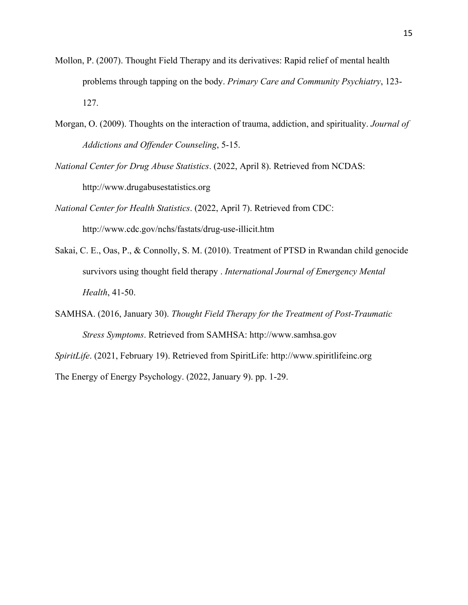- Mollon, P. (2007). Thought Field Therapy and its derivatives: Rapid relief of mental health problems through tapping on the body. *Primary Care and Community Psychiatry*, 123- 127.
- Morgan, O. (2009). Thoughts on the interaction of trauma, addiction, and spirituality. *Journal of Addictions and Offender Counseling*, 5-15.
- *National Center for Drug Abuse Statistics*. (2022, April 8). Retrieved from NCDAS: http://www.drugabusestatistics.org
- *National Center for Health Statistics*. (2022, April 7). Retrieved from CDC: http://www.cdc.gov/nchs/fastats/drug-use-illicit.htm
- Sakai, C. E., Oas, P., & Connolly, S. M. (2010). Treatment of PTSD in Rwandan child genocide survivors using thought field therapy . *International Journal of Emergency Mental Health*, 41-50.
- SAMHSA. (2016, January 30). *Thought Field Therapy for the Treatment of Post-Traumatic Stress Symptoms*. Retrieved from SAMHSA: http://www.samhsa.gov
- *SpiritLife*. (2021, February 19). Retrieved from SpiritLife: http://www.spiritlifeinc.org The Energy of Energy Psychology. (2022, January 9). pp. 1-29.